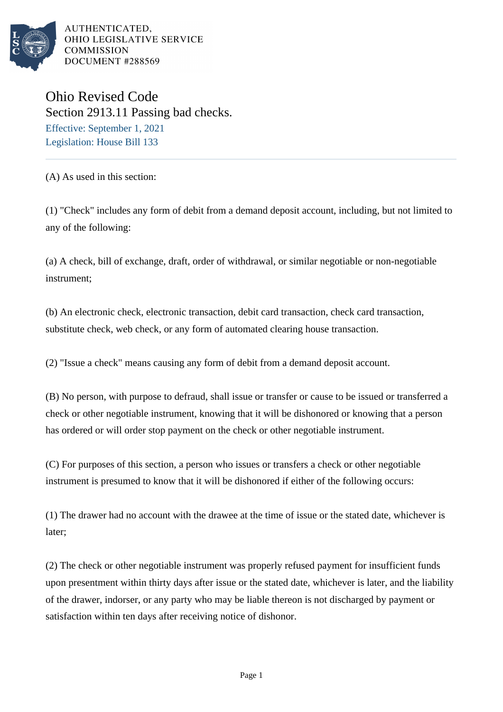

AUTHENTICATED. OHIO LEGISLATIVE SERVICE **COMMISSION** DOCUMENT #288569

Ohio Revised Code Section 2913.11 Passing bad checks. Effective: September 1, 2021 Legislation: House Bill 133

(A) As used in this section:

(1) "Check" includes any form of debit from a demand deposit account, including, but not limited to any of the following:

(a) A check, bill of exchange, draft, order of withdrawal, or similar negotiable or non-negotiable instrument;

(b) An electronic check, electronic transaction, debit card transaction, check card transaction, substitute check, web check, or any form of automated clearing house transaction.

(2) "Issue a check" means causing any form of debit from a demand deposit account.

(B) No person, with purpose to defraud, shall issue or transfer or cause to be issued or transferred a check or other negotiable instrument, knowing that it will be dishonored or knowing that a person has ordered or will order stop payment on the check or other negotiable instrument.

(C) For purposes of this section, a person who issues or transfers a check or other negotiable instrument is presumed to know that it will be dishonored if either of the following occurs:

(1) The drawer had no account with the drawee at the time of issue or the stated date, whichever is later;

(2) The check or other negotiable instrument was properly refused payment for insufficient funds upon presentment within thirty days after issue or the stated date, whichever is later, and the liability of the drawer, indorser, or any party who may be liable thereon is not discharged by payment or satisfaction within ten days after receiving notice of dishonor.